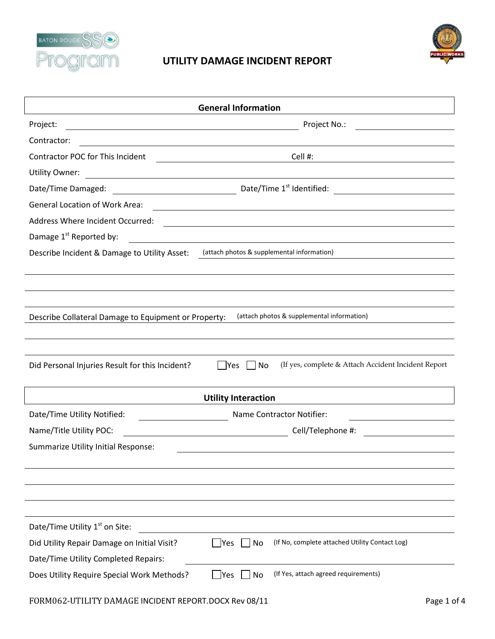



| <b>General Information</b>                                                                                                                     |                                                                                                                      |  |  |  |  |
|------------------------------------------------------------------------------------------------------------------------------------------------|----------------------------------------------------------------------------------------------------------------------|--|--|--|--|
| Project:<br><u> 1989 - Johann Stoff, deutscher Stoffen und der Stoffen und der Stoffen und der Stoffen und der Stoffen und der</u>             | Project No.:                                                                                                         |  |  |  |  |
| Contractor:                                                                                                                                    |                                                                                                                      |  |  |  |  |
| <b>Contractor POC for This Incident</b>                                                                                                        | Cell #:                                                                                                              |  |  |  |  |
| <b>Utility Owner:</b><br><u> 1980 - Johann Barn, mars ann an t-Amhain Aonaich an t-Aonaich an t-Aonaich an t-Aonaich an t-Aonaich an t-Aon</u> |                                                                                                                      |  |  |  |  |
| Date/Time Damaged:                                                                                                                             |                                                                                                                      |  |  |  |  |
| <b>General Location of Work Area:</b>                                                                                                          | <u> 1989 - Johann Barbara, martxa eta idazlea (h. 1989).</u>                                                         |  |  |  |  |
| <b>Address Where Incident Occurred:</b>                                                                                                        | <u> 1989 - Johann Barbara, martxa alemaniar amerikan basar da da a shekara 1980 - Andrew Santa Barbara, a shekar</u> |  |  |  |  |
| Damage 1 <sup>st</sup> Reported by:                                                                                                            | <u> 1980 - Johann Barbara, martxa alemaniar a</u>                                                                    |  |  |  |  |
| Describe Incident & Damage to Utility Asset:                                                                                                   | (attach photos & supplemental information)                                                                           |  |  |  |  |
|                                                                                                                                                |                                                                                                                      |  |  |  |  |
|                                                                                                                                                |                                                                                                                      |  |  |  |  |
|                                                                                                                                                |                                                                                                                      |  |  |  |  |
| Describe Collateral Damage to Equipment or Property:                                                                                           | (attach photos & supplemental information)                                                                           |  |  |  |  |
|                                                                                                                                                |                                                                                                                      |  |  |  |  |
|                                                                                                                                                |                                                                                                                      |  |  |  |  |
| Did Personal Injuries Result for this Incident?                                                                                                | (If yes, complete & Attach Accident Incident Report<br>  Yes<br>No                                                   |  |  |  |  |
|                                                                                                                                                |                                                                                                                      |  |  |  |  |
|                                                                                                                                                | <b>Utility Interaction</b>                                                                                           |  |  |  |  |
| Date/Time Utility Notified:                                                                                                                    | Name Contractor Notifier:                                                                                            |  |  |  |  |
| Name/Title Utility POC:                                                                                                                        | Cell/Telephone #:<br><u> Alexandria de la conte</u>                                                                  |  |  |  |  |
| Summarize Utility Initial Response:                                                                                                            |                                                                                                                      |  |  |  |  |
|                                                                                                                                                |                                                                                                                      |  |  |  |  |
|                                                                                                                                                |                                                                                                                      |  |  |  |  |
|                                                                                                                                                |                                                                                                                      |  |  |  |  |
|                                                                                                                                                |                                                                                                                      |  |  |  |  |
| Date/Time Utility 1 <sup>st</sup> on Site:                                                                                                     |                                                                                                                      |  |  |  |  |
| Did Utility Repair Damage on Initial Visit?                                                                                                    | (If No, complete attached Utility Contact Log)<br> Yes<br>No                                                         |  |  |  |  |
| Date/Time Utility Completed Repairs:                                                                                                           |                                                                                                                      |  |  |  |  |
| Does Utility Require Special Work Methods?                                                                                                     | (If Yes, attach agreed requirements)<br>Yes<br>No                                                                    |  |  |  |  |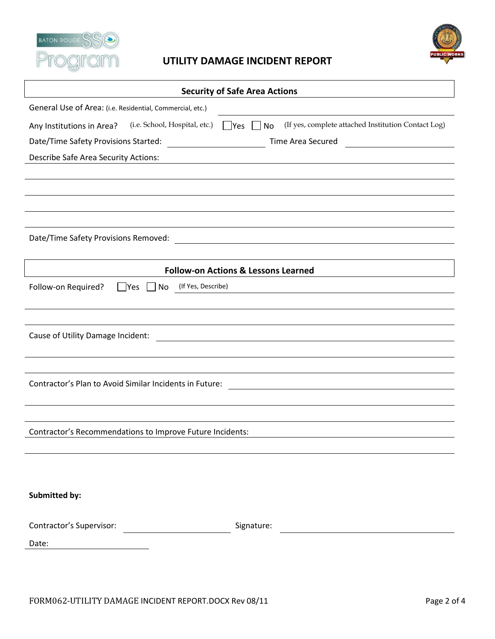



## Security of Safe Area Actions

| General Use of Area: (i.e. Residential, Commercial, etc.)                                                                                                                         |  |  |  |  |
|-----------------------------------------------------------------------------------------------------------------------------------------------------------------------------------|--|--|--|--|
| (i.e. School, Hospital, etc.)<br>(If yes, complete attached Institution Contact Log)<br>Any Institutions in Area?<br>$\Box$ Yes $\Box$<br>No                                      |  |  |  |  |
| Date/Time Safety Provisions Started:<br>Time Area Secured<br><u> 1980 - Jan Samuel Barbara, politik eta politik eta politik eta politik eta politik eta politik eta politik e</u> |  |  |  |  |
| <b>Describe Safe Area Security Actions:</b>                                                                                                                                       |  |  |  |  |
|                                                                                                                                                                                   |  |  |  |  |
|                                                                                                                                                                                   |  |  |  |  |
|                                                                                                                                                                                   |  |  |  |  |
|                                                                                                                                                                                   |  |  |  |  |
| Date/Time Safety Provisions Removed:<br><u> 1980 - Johann Barn, mars ann an t-Amhain Aonaich an t-Aonaich an t-Aonaich an t-Aonaich an t-Aonaich an t-Aon</u>                     |  |  |  |  |
|                                                                                                                                                                                   |  |  |  |  |
| <b>Follow-on Actions &amp; Lessons Learned</b>                                                                                                                                    |  |  |  |  |
| (If Yes, Describe)<br>Follow-on Required?<br>$\Box$ Yes<br>$\Box$ No                                                                                                              |  |  |  |  |
|                                                                                                                                                                                   |  |  |  |  |
|                                                                                                                                                                                   |  |  |  |  |
| Cause of Utility Damage Incident:<br><u> 1980 - Johann Stein, fransk politik (d. 1980)</u>                                                                                        |  |  |  |  |
|                                                                                                                                                                                   |  |  |  |  |
|                                                                                                                                                                                   |  |  |  |  |
| Contractor's Plan to Avoid Similar Incidents in Future:                                                                                                                           |  |  |  |  |
|                                                                                                                                                                                   |  |  |  |  |
|                                                                                                                                                                                   |  |  |  |  |
| Contractor's Recommendations to Improve Future Incidents:                                                                                                                         |  |  |  |  |
|                                                                                                                                                                                   |  |  |  |  |
|                                                                                                                                                                                   |  |  |  |  |
|                                                                                                                                                                                   |  |  |  |  |
| <b>Submitted by:</b>                                                                                                                                                              |  |  |  |  |
|                                                                                                                                                                                   |  |  |  |  |
| Contractor's Supervisor:<br>Signature:                                                                                                                                            |  |  |  |  |
| Date:                                                                                                                                                                             |  |  |  |  |
|                                                                                                                                                                                   |  |  |  |  |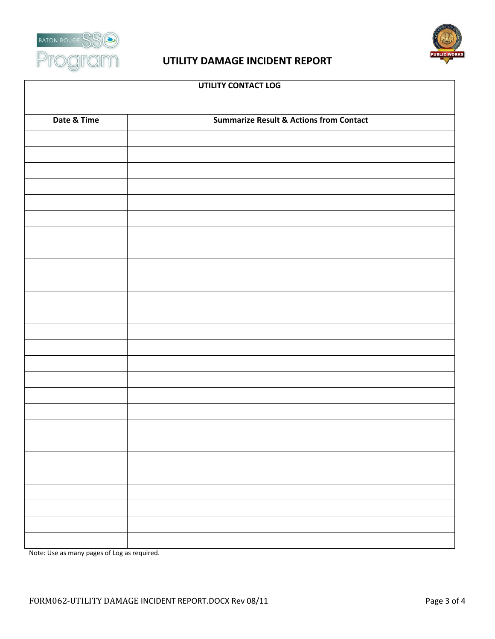



| UTILITY CONTACT LOG |                                                    |  |  |  |
|---------------------|----------------------------------------------------|--|--|--|
|                     |                                                    |  |  |  |
| Date & Time         | <b>Summarize Result &amp; Actions from Contact</b> |  |  |  |
|                     |                                                    |  |  |  |
|                     |                                                    |  |  |  |
|                     |                                                    |  |  |  |
|                     |                                                    |  |  |  |
|                     |                                                    |  |  |  |
|                     |                                                    |  |  |  |
|                     |                                                    |  |  |  |
|                     |                                                    |  |  |  |
|                     |                                                    |  |  |  |
|                     |                                                    |  |  |  |
|                     |                                                    |  |  |  |
|                     |                                                    |  |  |  |
|                     |                                                    |  |  |  |
|                     |                                                    |  |  |  |
|                     |                                                    |  |  |  |
|                     |                                                    |  |  |  |
|                     |                                                    |  |  |  |
|                     |                                                    |  |  |  |
|                     |                                                    |  |  |  |
|                     |                                                    |  |  |  |
|                     |                                                    |  |  |  |
|                     |                                                    |  |  |  |
|                     |                                                    |  |  |  |
|                     |                                                    |  |  |  |
|                     |                                                    |  |  |  |

Note: Use as many pages of Log as required.